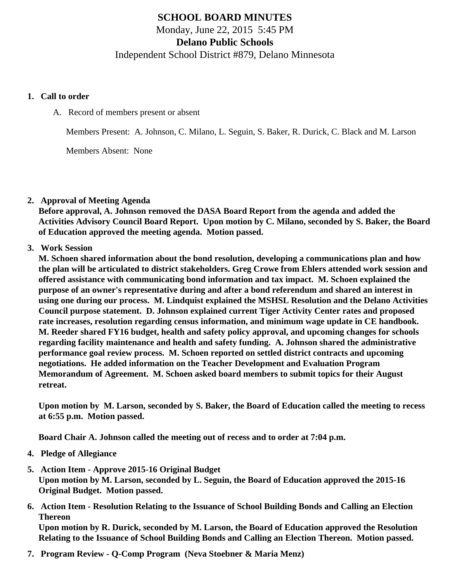# SCHOOL BOARD MINUTES Monday, June 22, 2015 5:45 PM Delano Public Schools Independent School District #879, Delano Minnesota

- 1. Call to order
	- A. Record of members present or absent

Members Present: A. Johnson, C. Milano, L. Seguin, S. Baker, R. Durick, C. Black and M. Larson

Members Absent: None

#### 2. Approval of Meeting Agenda

Before approval, A. Johnson removed the DASA Board Report from the agenda and added the Activities Advisory Council Board Report. Upon motion by C. Milano, seconded by S. Baker, the Board of Education approved the meeting agenda. Motion passed.

# 3. Work Session

M. Schoen shared information about the bond resolution, developing a communications plan and how the plan will be articulated to district stakeholders. Greg Crowe from Ehlers attended work session and offered assistance with communicating bond information and tax impact. M. Schoen explained the purpose of an owner's representative during and after a bond referendum and shared an interest in using one during our process. M. Lindquist explained the MSHSL Resolution and the Delano Activities Council purpose statement. D. Johnson explained current Tiger Activity Center rates and proposed rate increases, resolution regarding census information, and minimum wage update in CE handbook. M. Reeder shared FY16 budget, health and safety policy approval, and upcoming changes for schools regarding facility maintenance and health and safety funding. A. Johnson shared the administrative performance goal review process. M. Schoen reported on settled district contracts and upcoming negotiations. He added information on the Teacher Development and Evaluation Program Memorandum of Agreement. M. Schoen asked board members to submit topics for their August retreat.

Upon motion by M. Larson, seconded by S. Baker, the Board of Education called the meeting to recess at 6:55 p.m. Motion passed.

Board Chair A. Johnson called the meeting out of recess and to order at 7:04 p.m.

- 4. Pledge of Allegiance
- 5. Action Item - [Approve 2015-16 Original Budge](/docs/district/Business_Office/Proposed_Original_Budget_for_2015-2016.pdf)t Upon motion by M. Larson, seconded by L. Seguin, the Board of Education approved the 2015-16 Original Budget. Motion passed.
- 6. Action Item - [Resolution Relating to the Issuance of School Building Bonds and Calling an Electio](/docs/district/District_Forms/Resolution_Relating_to_the_Issuance_of_School_Building_Bonds_and_Calling_an_Election_Thereon.pdf)n [Thereon](/docs/district/District_Forms/Resolution_Relating_to_the_Issuance_of_School_Building_Bonds_and_Calling_an_Election_Thereon.pdf)

Upon motion by R. Durick, seconded by M. Larson, the Board of Education approved the Resolution Relating to the Issuance of School Building Bonds and Calling an Election Thereon. Motion passed.

7. Program Review - Q-CompProgram (Neva Stoebner & Maria Menz)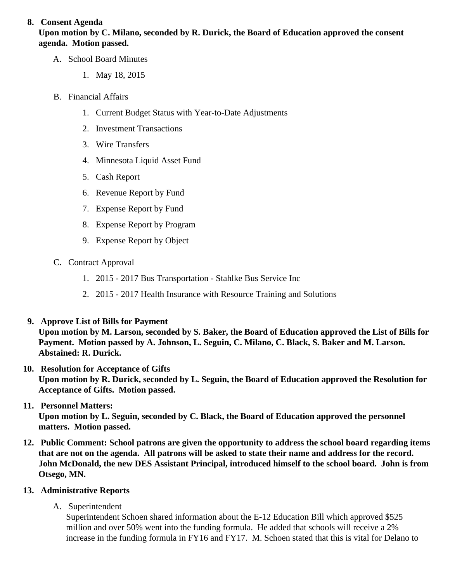# 8. Consent Agenda

Upon motion by C. Milano, seconded by R. Durick, the Board of Education approved the consent agenda. Motion passed.

- A. School Board Minutes
	- 1. [May 18, 2015](/May_2015_School_Board_Minutes.pdf)
- B. Financial Affairs
	- 1. [Current Budget Status with Year-to-Date Adjustm](/docs/district/Business_Office/Budget_Report_June_15.pdf)ents
	- 2. [Investment Transactio](/docs/district/Business_Office/Investment_schedule_14-15.pdf )ns
	- 3. [Wire Transfer](/docs/district/Business_Office/Wire_Transfer.pdf  )s
	- 4. [Minnesota Liquid Asset Fun](/docs/district/Business_Office/Liquid_Asset_Fund_FY15.pdf )d
	- 5. [Cash Repo](/docs/district/Business_Office/Cash_Report.pdf  )rt
	- 6. [Revenue Report by Fu](/docs/district/Business_Office/SCHOOL_BOARD_REPORTS_-_REVENUE_BY_FUND_TOTAL__(Date__6_2015).pdf)nd
	- 7. [Expense Report by Fu](/docs/district/Business_Office/SCHOOL_BOARD_REPORTS_-_EXP_BY_FUND_TOTAL__(Date__6_2015).pdf)nd
	- 8. [Expense Report by Progra](/docs/district/Business_Office/SCHOOL_BOARD_REPORTS_-_EXPENDITURES_BY_PROGRAM__(Date__6_2015).pdf)m
	- 9. [Expense Report by Obje](/docs/district/Business_Office/SCHOOL_BOARD_REPORTS_-_EXPENDITURES_BY_OBJECT__(Date__6_2015).pdf)ct
- C. Contract Approval
	- 1. 2015 2017 Bus Transportation Stahlke Bus Service Inc
	- 2. [2015 2017 Health Insurance with Resource Training and Sol](/docs/district/Business_Office/Health_Insurance_Info.pdf)utions
- 9. Approve [List of Bills for Payment](/docs/district/Business_Office/Monthly_Bills_Paid.pdf) Upon motion by M. Larson, seconded by S. Baker, the Board of Education approved the List of Bills for Payment. Motion passed by A. Johnson, L. Seguin, C. Milano, C. Black, S. Baker and M. Larson. Abstained: R. Durick.
- 10. [Resolution for Acceptance of Gifts](/docs/district/Business_Office/Resolution_for_Acceptance_of_Gifts_6.22.15.pdf) Upon motion by R. Durick, seconded by L. Seguin, the Board of Education approved the Resolution for Acceptance of Gifts. Motion passed.
- 11. [Personnel Matters:](/docs/district/HR/June_22,_2015_Personnel_Items_.pdf) Upon motion by L. Seguin, seconded by C. Black, the Board of Education approved the personnel matters. Motion passed.
- 12. Public Comment: School patrons are given the opportunity to address the school board regarding items that are not on the agenda. All patrons will be asked to state their name and address for the record. John McDonald, the new DES Assistant Principal, introduced himself to the school board. John is from Otsego, MN.
- 13. Administrative Reports
	- A. Superintendent

Superintendent Schoen shared information about the E-12 Education Bill which approved \$525 million and over 50% went into the funding formula. He added that schools will receive a 2% increase in the funding formula in FY16 and FY17. M. Schoen stated that this is vital for Delano to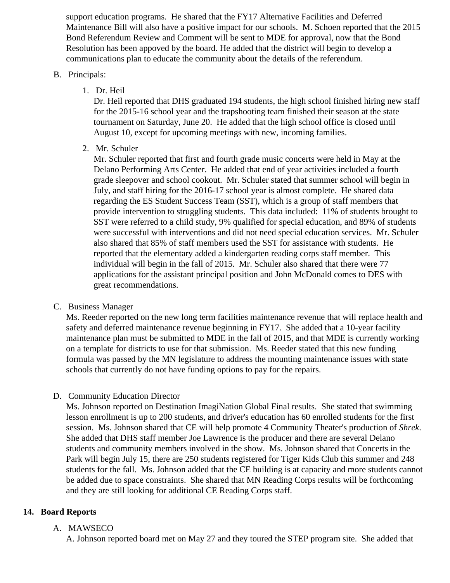support education programs. He shared that the FY17 Alternative Facilities and Deferred Maintenance Bill will also have a positive impact for our schools. M. Schoen reported that the 2015 Bond Referendum Review and Comment will be sent to MDE for approval, now that the Bond Resolution has been appoved by the board. He added that the district will begin to develop a communications plan to educate the community about the details of the referendum.

#### B. Principals:

1. Dr. Heil

Dr. Heil reported that DHS graduated 194 students, the high school finished hiring new staff for the 2015-16 school year and the trapshooting team finished their season at the state tournament on Saturday, June 20. He added that the high school office is closed until August 10, except for upcoming meetings with new, incoming families.

2. Mr. Schuler

Mr. Schuler reported that first and fourth grade music concerts were held in May at the Delano Performing Arts Center. He added that end of year activities included a fourth grade sleepover and school cookout. Mr. Schuler stated that summer school will begin in July, and staff hiring for the 2016-17 school year is almost complete. He shared data regarding the ES Student Success Team (SST), which is a group of staff members that provide intervention to struggling students. This data included: 11% of students brought to SST were referred to a child study, 9% qualified for special education, and 89% of students were successful with interventions and did not need special education services. Mr. Schuler also shared that 85% of staff members used the SST for assistance with students. He reported that the elementary added a kindergarten reading corps staff member. This individual will begin in the fall of 2015. Mr. Schuler also shared that there were 77 applications for the assistant principal position and John McDonald comes to DES with great recommendations.

C. Business Manager

Ms. Reeder reported on the new long term facilities maintenance revenue that will replace health and safety and deferred maintenance revenue beginning in FY17. She added that a 10-year facility maintenance plan must be submitted to MDE in the fall of 2015, and that MDE is currently working on a template for districts to use for that submission. Ms. Reeder stated that this new funding formula was passed by the MN legislature to address the mounting maintenance issues with state schools that currently do not have funding options to pay for the repairs.

D. Community Education Director

Ms. Johnson reported on Destination ImagiNation Global Final results. She stated that swimming lesson enrollment is up to 200 students, and driver's education has 60 enrolled students for the first session. Ms. Johnson shared that CE will help promote 4 Community Theater's production of *Shrek*. She added that DHS staff member Joe Lawrence is the producer and there are several Delano students and community members involved in the show. Ms. Johnson shared that Concerts in the Park will begin July 15, there are 250 students registered for Tiger Kids Club this summer and 248 students for the fall. Ms. Johnson added that the CE building is at capacity and more students cannot be added due to space constraints. She shared that MN Reading Corps results will be forthcoming and they are still looking for additional CE Reading Corps staff.

# **14. Board Reports**

# A. MAWSECO

A. Johnson reported board met on May 27 and they toured the STEP program site. She added that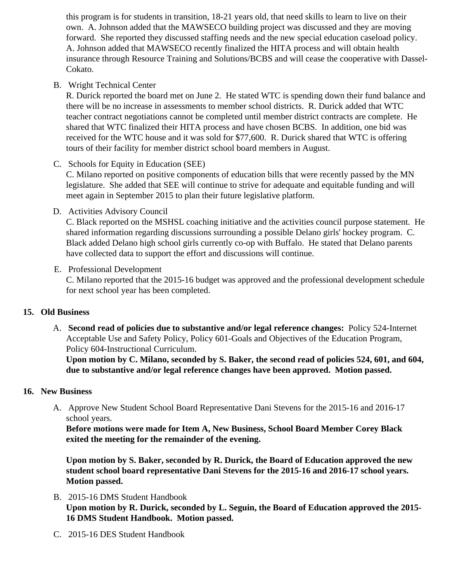this program is for students in transition, 18-21 years old, that need skills to learn to live on their own. A. Johnson added that the MAWSECO building project was discussed and they are moving forward. She reported they discussed staffing needs and the new special education caseload polic A. Johnson added that MAWSECO recently finalized the HITA process and will obtain health insurance through Resource Training and Solutions/BCBS and will cease the cooperative with Das Cokato.

# B. Wright Technical Center

R. Durick reported the board met on June 2. He stated WTC is spending down their fund balance there will be no increase in assessments to member school districts. R. Durick added that WTC teacher contract negotiations cannot be completed until member district contracts are complete. H shared that WTC finalized their HITA process and have chosen BCBS. In addition, one bid was received for the WTC house and it was sold for \$77,600. R. Durick shared that WTC is offering tours of their facility for member district school board members in August.

# C. Schools for Equity in Education (SEE)

C. Milano reported on positive components of education bills that were recently passed by the MN legislature. She added that SEE will continue to strive for adequate and equitable funding and will meet again in September 2015 to plan their future legislative platform.

# D. Activities Advisory Council

C. Black reported on the MSHSL coaching initiative and the activities council purpose statement. He shared information regarding discussions surrounding a possible Delano girls' hockey program. C. Black added Delano high school girls currently co-op with Buffalo. He stated that Delano parents have collected data to support the effort and discussions will continue.

# E. Professional Development

C. Milano reported that the 2015-16 budget was approved and the professional development sched for next school year has been completed.

# 15. Old Business

A. Second read of policies due to substantive and/or legal reference changestlicy 524-Internet Acceptable Use and Safety Policy, Policy 601-Goals and Objectives of the Education Program, Policy 604-Instructional Curriculum.

Upon motion by C. Milano, seconded by S. Baker, the second read of policies 524, 601, and 604, due to substantive and/or legal reference changes have been approved. Motion passed.

# 16. New Business

A. Approve New Student School Board Representative Dani Stevens for the 2015-16 and 2016-17 school years.

Before motions were made for Item A, New Business, School Board Member Corey Black exited the meeting for the remainder of the evening.

Upon motion by S. Baker, seconded by R. Durick, the Board of Education approved the new student school board representative Dani Stevens for the 2015-16 and 2016-17 school years. Motion passed.

- B. [2015-16 DMS Student Handbo](/docs/district/District_Forms/DMS_Student_Handbook.pdf)ok Upon motion by R. Durick, seconded by L. Seguin, the Board of Education approved the 2015- 16 DMS Student Handbook. Motion passed.
- C. [2015-16 DES Student Handbo](/docs/district/District_Forms/STUDENT-PARENT_HANDBOOK_DES_2015-16.pdf)ok